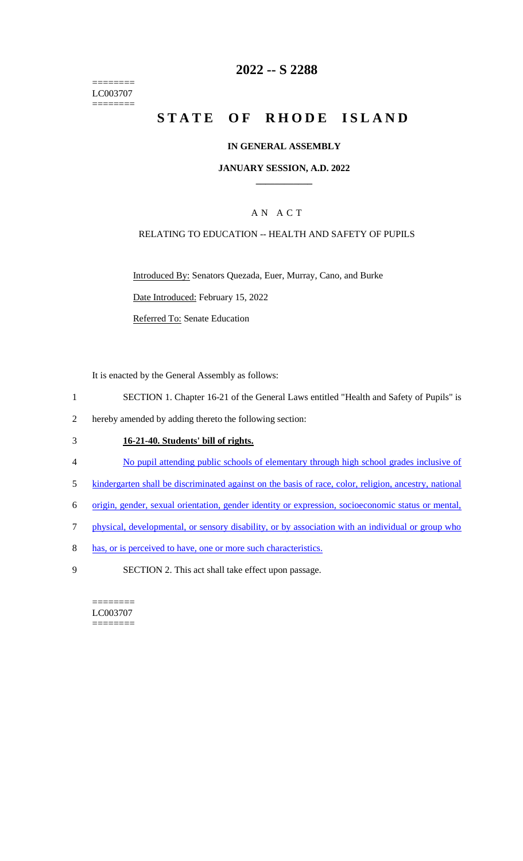======== LC003707 ========

# **2022 -- S 2288**

# **STATE OF RHODE ISLAND**

### **IN GENERAL ASSEMBLY**

#### **JANUARY SESSION, A.D. 2022 \_\_\_\_\_\_\_\_\_\_\_\_**

## A N A C T

### RELATING TO EDUCATION -- HEALTH AND SAFETY OF PUPILS

Introduced By: Senators Quezada, Euer, Murray, Cano, and Burke Date Introduced: February 15, 2022

Referred To: Senate Education

It is enacted by the General Assembly as follows:

- 1 SECTION 1. Chapter 16-21 of the General Laws entitled "Health and Safety of Pupils" is
- 2 hereby amended by adding thereto the following section:

# 3 **16-21-40. Students' bill of rights.**

- 4 No pupil attending public schools of elementary through high school grades inclusive of
- 5 kindergarten shall be discriminated against on the basis of race, color, religion, ancestry, national
- 6 origin, gender, sexual orientation, gender identity or expression, socioeconomic status or mental,
- 7 physical, developmental, or sensory disability, or by association with an individual or group who
- 8 has, or is perceived to have, one or more such characteristics.
- 9 SECTION 2. This act shall take effect upon passage.

======== LC003707 ========